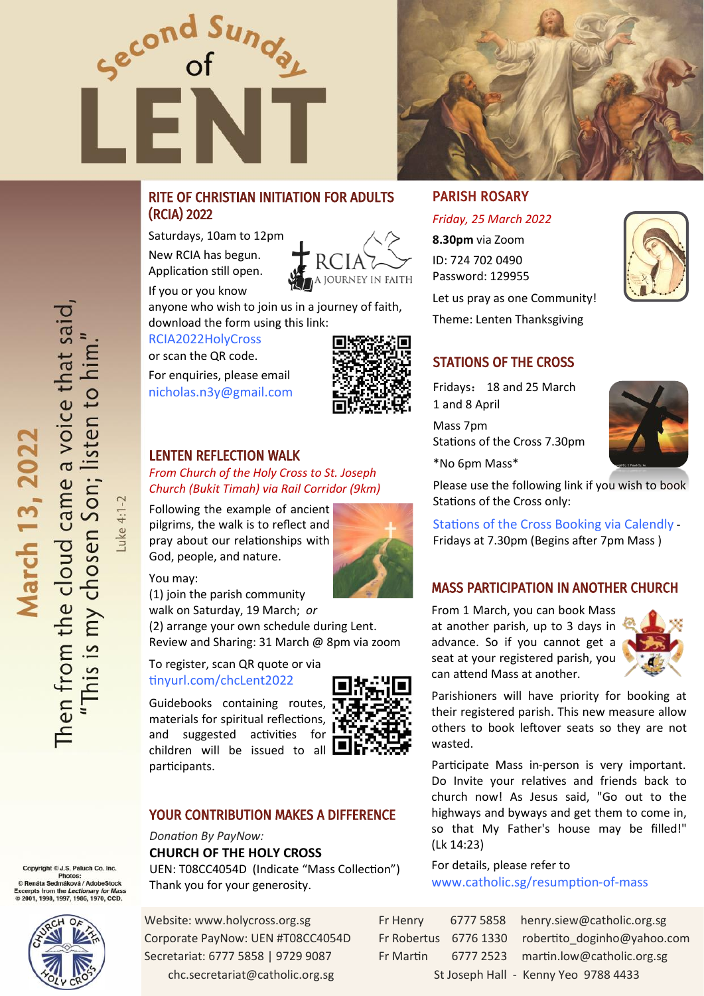



# RITE OF CHRISTIAN INITIATION FOR ADULTS (RCIA) 2022

Saturdays, 10am to 12pm New RCIA has begun. Application still open.



If you or you know anyone who wish to join us in a journey of faith, download the form using this link:

[RCIA2022HolyCross](https://tinyurl.com/RCIA2022HolyCross) 

or scan the QR code.

For enquiries, please email [nicholas.n3y@gmail.com](mailto:nicholas.n3y@gmail.com?subject=RCIA%202022)



# LENTEN REFLECTION WALK

*From Church of the Holy Cross to St. Joseph Church (Bukit Timah) via Rail Corridor (9km)*

Following the example of ancient pilgrims, the walk is to reflect and pray about our relationships with God, people, and nature.



You may:

(1) join the parish community walk on Saturday, 19 March; *or* (2) arrange your own schedule during Lent.

Review and Sharing: 31 March @ 8pm via zoom

#### To register, scan QR quote or via [tinyurl.com/chcLent2022](https://tinyurl.com/chcLent2022)

Guidebooks containing routes, materials for spiritual reflections, and suggested activities for children will be issued to all  $\square$ participants.



#### YOUR CONTRIBUTION MAKES A DIFFERENCE

# *Donation By PayNow:*  **CHURCH OF THE HOLY CROSS**

UEN: T08CC4054D (Indicate "Mass Collection") Thank you for your generosity.

Website: www.holycross.org.sg Corporate PayNow: UEN #T08CC4054D Secretariat: 6777 5858 | 9729 9087 chc.secretariat@catholic.org.sg

# PARISH ROSARY

*Friday, 25 March 2022* **8.30pm** via Zoom ID: 724 702 0490 Password: 129955

Let us pray as one Community! Theme: Lenten Thanksgiving

# STATIONS OF THE CROSS

Fridays: 18 and 25 March 1 and 8 April

Mass 7pm Stations of the Cross 7.30pm



\*No 6pm Mass\*

Please use the following link if you wish to book Stations of the Cross only:

[Stations of the Cross Booking via Calendly](https://calendly.com/chc-sg/) - Fridays at 7.30pm (Begins after 7pm Mass )

### MASS PARTICIPATION IN ANOTHER CHURCH

From 1 March, you can book Mass at another parish, up to 3 days in advance. So if you cannot get a seat at your registered parish, you can attend Mass at another.



Parishioners will have priority for booking at their registered parish. This new measure allow others to book leftover seats so they are not wasted.

Participate Mass in-person is very important. Do Invite your relatives and friends back to church now! As Jesus said, "Go out to the highways and byways and get them to come in, so that My Father's house may be filled!" (Lk 14:23)

For details, please refer to [www.catholic.sg/resumption](https://www.catholic.sg/resumption-of-mass47/)-of-mass

| r Henry                              |  | 6777 5858 henry.siew@catholic.org.sg              |  |
|--------------------------------------|--|---------------------------------------------------|--|
|                                      |  | Fr Robertus 6776 1330 robertito doginho@yahoo.com |  |
| Fr Martin                            |  | 6777 2523 martin.low@catholic.org.sg              |  |
| St Joseph Hall - Kenny Yeo 9788 4433 |  |                                                   |  |

Luke 4:1-2

Copyright © J.S. Paluch Co. Inc.

yright © J.S. Paluch Co. Inc.<br>Photos:<br>náta Sedmáková / AdobeStock<br>sts from the *Lectionary for Ma*r Excerpts from the Lectionary for Mas:<br>© 2001, 1998, 1997, 1986, 1970, CCD.